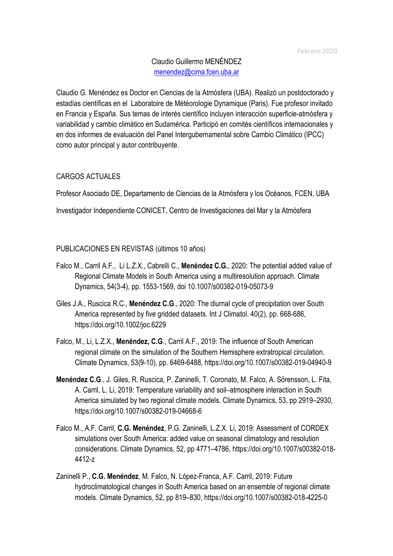# Claudio Guillermo MENÉNDEZ menendez@cima.fcen.uba.ar

Claudio G. Menéndez es Doctor en Ciencias de la Atmósfera (UBA). Realizó un postdoctorado y estadías científicas en el Laboratoire de Météorologie Dynamique (Paris). Fue profesor invitado en Francia y España. Sus temas de interés científico incluyen interacción superficie-atmósfera y variabilidad y cambio climático en Sudamérica. Participó en comités científicos internacionales y en dos informes de evaluación del Panel Intergubernamental sobre Cambio Climático (IPCC) como autor principal y autor contribuyente.

### CARGOS ACTUALES

Profesor Asociado DE, Departamento de Ciencias de la Atmósfera y los Océanos, FCEN, UBA

Investigador Independiente CONICET, Centro de Investigaciones del Mar y la Atmósfera

#### PUBLICACIONES EN REVISTAS (últimos 10 años)

- Falco M., Carril A.F., Li L.Z.X., Cabrelli C., **Menéndez C.G.**, 2020: The potential added value of Regional Climate Models in South America using a multiresolution approach. Climate Dynamics, 54(3-4), pp. 1553-1569, doi 10.1007/s00382-019-05073-9
- Giles J.A., Ruscica R.C., **Menéndez C.G**., 2020: The diurnal cycle of precipitation over South America represented by five gridded datasets. Int J Climatol. 40(2), pp. 668-686, https://doi.org/10.1002/joc.6229
- Falco, M., Li, L.Z.X., **Menéndez, C.G**., Carril A.F., 2019: The influence of South American regional climate on the simulation of the Southern Hemisphere extratropical circulation. Climate Dynamics, 53(9-10), pp. 6469-6488, https://doi.org/10.1007/s00382-019-04940-9
- **Menéndez C.G**., J. Giles, R. Ruscica, P. Zaninelli, T. Coronato, M. Falco, A. Sörensson, L. Fita, A. Carril, L. Li, 2019: Temperature variability and soil–atmosphere interaction in South America simulated by two regional climate models. Climate Dynamics, 53, pp 2919–2930, https://doi.org/10.1007/s00382-019-04668-6
- Falco M., A.F. Carril, **C.G. Menéndez**, P.G. Zaninelli, L.Z.X. Li, 2019: Assessment of CORDEX simulations over South America: added value on seasonal climatology and resolution considerations. Climate Dynamics, 52, pp 4771–4786, https://doi.org/10.1007/s00382-018- 4412-z
- Zaninelli P., **C.G. Menéndez**, M. Falco, N. López-Franca, A.F. Carril, 2019: Future hydroclimatological changes in South America based on an ensemble of regional climate models. Climate Dynamics, 52, pp 819–830, https://doi.org/10.1007/s00382-018-4225-0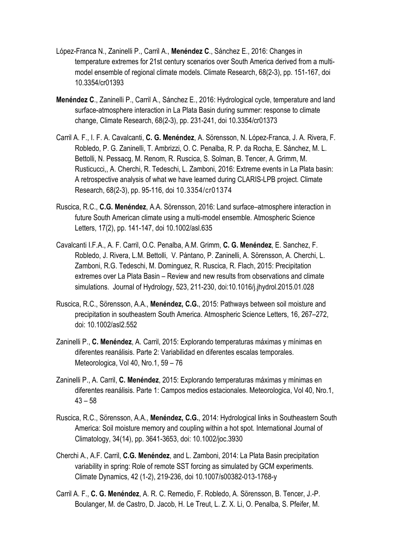- López-Franca N., Zaninelli P., Carril A., **Menéndez C**., Sánchez E., 2016: Changes in temperature extremes for 21st century scenarios over South America derived from a multimodel ensemble of regional climate models. Climate Research, 68(2-3), pp. 151-167, doi 10.3354/cr01393
- **Menéndez C**., Zaninelli P., Carril A., Sánchez E., 2016: Hydrological cycle, temperature and land surface-atmosphere interaction in La Plata Basin during summer: response to climate change, Climate Research, 68(2-3), pp. 231-241, doi 10.3354/cr01373
- Carril A. F., I. F. A. Cavalcanti, **C. G. Menéndez**, A. Sörensson, N. López-Franca, J. A. Rivera, F. Robledo, P. G. Zaninelli, T. Ambrizzi, O. C. Penalba, R. P. da Rocha, E. Sánchez, M. L. Bettolli, N. Pessacg, M. Renom, R. Ruscica, S. Solman, B. Tencer, A. Grimm, M. Rusticucci,, A. Cherchi, R. Tedeschi, L. Zamboni, 2016: Extreme events in La Plata basin: A retrospective analysis of what we have learned during CLARIS-LPB project. Climate Research, 68(2-3), pp. 95-116, doi 10.3354/cr01374
- Ruscica, R.C., **C.G. Menéndez**, A.A. Sörensson, 2016: Land surface–atmosphere interaction in future South American climate using a multi-model ensemble. Atmospheric Science Letters, 17(2), pp. 141-147, doi 10.1002/asl.635
- Cavalcanti I.F.A., A. F. Carril, O.C. Penalba, A.M. Grimm, **C. G. Menéndez**, E. Sanchez, F. Robledo, J. Rivera, L.M. Bettolli, V. Pántano, P. Zaninelli, A. Sörensson, A. Cherchi, L. Zamboni, R.G. Tedeschi, M. Dominguez, R. Ruscica, R. Flach, 2015: Precipitation extremes over La Plata Basin – Review and new results from observations and climate simulations. Journal of Hydrology, 523, 211-230, doi:10.1016/j.jhydrol.2015.01.028
- Ruscica, R.C., Sörensson, A.A., **Menéndez, C.G.**, 2015: Pathways between soil moisture and precipitation in southeastern South America. Atmospheric Science Letters, 16, 267–272, doi: 10.1002/asl2.552
- Zaninelli P., **C. Menéndez**, A. Carril, 2015: Explorando temperaturas máximas y mínimas en diferentes reanálisis. Parte 2: Variabilidad en diferentes escalas temporales. Meteorologica, Vol 40, Nro.1, 59 – 76
- Zaninelli P., A. Carril, **C. Menéndez**, 2015: Explorando temperaturas máximas y mínimas en diferentes reanálisis. Parte 1: Campos medios estacionales. Meteorologica, Vol 40, Nro.1, 43 – 58
- Ruscica, R.C., Sörensson, A.A., **Menéndez, C.G.**, 2014: Hydrological links in Southeastern South America: Soil moisture memory and coupling within a hot spot. International Journal of Climatology, 34(14), pp. 3641-3653, doi: 10.1002/joc.3930
- Cherchi A., A.F. Carril, **C.G. Menéndez**, and L. Zamboni, 2014: La Plata Basin precipitation variability in spring: Role of remote SST forcing as simulated by GCM experiments. Climate Dynamics, 42 (1-2), 219-236, doi 10.1007/s00382-013-1768-y
- Carril A. F., **C. G. Menéndez**, A. R. C. Remedio, F. Robledo, A. Sörensson, B. Tencer, J.-P. Boulanger, M. de Castro, D. Jacob, H. Le Treut, L. Z. X. Li, O. Penalba, S. Pfeifer, M.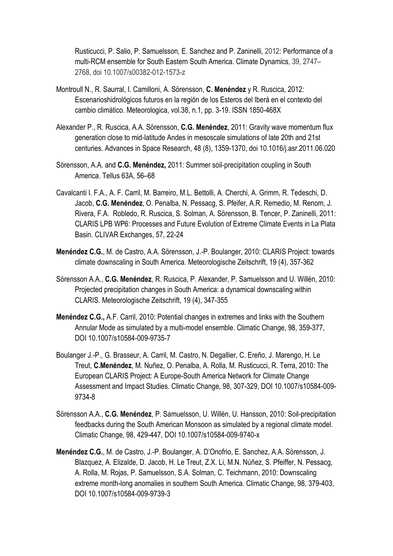Rusticucci, P. Salio, P. Samuelsson, E. Sanchez and P. Zaninelli, 2012: Performance of a multi-RCM ensemble for South Eastern South America. Climate Dynamics, 39, 2747– 2768, doi 10.1007/s00382-012-1573-z

- Montroull N., R. Saurral, I. Camilloni, A. Sörensson, **C. Menéndez** y R. Ruscica, 2012: Escenarioshidrológicos futuros en la región de los Esteros del Iberá en el contexto del cambio climático. Meteorologica, vol.38, n.1, pp. 3-19. ISSN 1850-468X
- Alexander P., R. Ruscica, A.A. Sörensson, **C.G. Menéndez**, 2011: Gravity wave momentum flux generation close to mid-latitude Andes in mesoscale simulations of late 20th and 21st centuries. Advances in Space Research, 48 (8), 1359-1370, doi 10.1016/j.asr.2011.06.020
- Sörensson, A.A. and **C.G. Menéndez,** 2011: Summer soil-precipitation coupling in South America. Tellus 63A, 56–68
- Cavalcanti I. F.A., A. F. Carril, M. Barreiro, M.L. Bettolli, A. Cherchi, A. Grimm, R. Tedeschi, D. Jacob, **C.G. Menéndez**, O. Penalba, N. Pessacg, S. Pfeifer, A.R. Remedio, M. Renom, J. Rivera, F.A. Robledo, R. Ruscica, S. Solman, A. Sörensson, B. Tencer, P. Zaninelli, 2011: CLARIS LPB WP6: Processes and Future Evolution of Extreme Climate Events in La Plata Basin. CLIVAR Exchanges, 57, 22-24
- **Menéndez C.G.**, M. de Castro, A.A. Sörensson, J.-P. Boulanger, 2010: CLARIS Project: towards climate downscaling in South America. Meteorologische Zeitschrift, 19 (4), 357-362
- Sörensson A.A., **C.G. Menéndez**, R. Ruscica, P. Alexander, P. Samuelsson and U. Willén, 2010: Projected precipitation changes in South America: a dynamical downscaling within CLARIS. Meteorologische Zeitschrift, 19 (4), 347-355
- **Menéndez C.G.,** A.F. Carril, 2010: Potential changes in extremes and links with the Southern Annular Mode as simulated by a multi-model ensemble. Climatic Change, 98, 359-377, DOI 10.1007/s10584-009-9735-7
- Boulanger J.-P., G. Brasseur, A. Carril, M. Castro, N. Degallier, C. Ereño, J. Marengo, H. Le Treut, **C.Menéndez**, M. Nuñez, O. Penalba, A. Rolla, M. Rusticucci, R. Terra, 2010: The European CLARIS Project: A Europe-South America Network for Climate Change Assessment and Impact Studies. Climatic Change, 98, 307-329, DOI 10.1007/s10584-009- 9734-8
- Sörensson A.A., **C.G. Menéndez**, P. Samuelsson, U. Willén, U. Hansson, 2010: Soil-precipitation feedbacks during the South American Monsoon as simulated by a regional climate model. Climatic Change, 98, 429-447, DOI 10.1007/s10584-009-9740-x
- **Menéndez C.G.**, M. de Castro, J.-P. Boulanger, A. D'Onofrio, E. Sanchez, A.A. Sörensson, J. Blazquez, A. Elizalde, D. Jacob, H. Le Treut, Z.X. Li, M.N. Núñez, S. Pfeiffer, N. Pessacg, A. Rolla, M. Rojas, P. Samuelsson, S.A. Solman, C. Teichmann, 2010: Downscaling extreme month-long anomalies in southern South America. Climatic Change, 98, 379-403, DOI 10.1007/s10584-009-9739-3